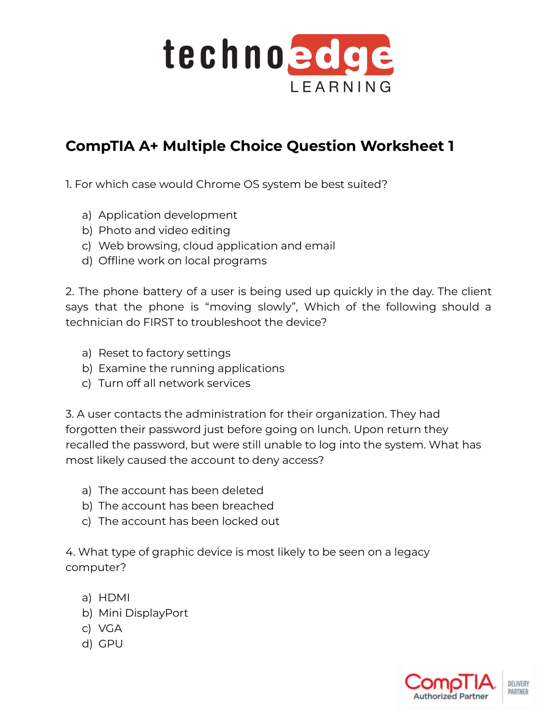

## **CompTIA A+ Multiple Choice Question Worksheet 1**

1. For which case would Chrome OS system be best suited?

- a) Application development
- b) Photo and video editing
- c) Web browsing, cloud application and email
- d) Offline work on local programs

2. The phone battery of a user is being used up quickly in the day. The client says that the phone is "moving slowly", Which of the following should a technician do FIRST to troubleshoot the device?

- a) Reset to factory settings
- b) Examine the running applications
- c) Turn off all network services

3. A user contacts the administration for their organization. They had forgotten their password just before going on lunch. Upon return they recalled the password, but were still unable to log into the system. What has most likely caused the account to deny access?

- a) The account has been deleted
- b) The account has been breached
- c) The account has been locked out

4. What type of graphic device is most likely to be seen on a legacy computer?

- a) HDMI
- b) Mini DisplayPort
- c) VGA
- d) GPU

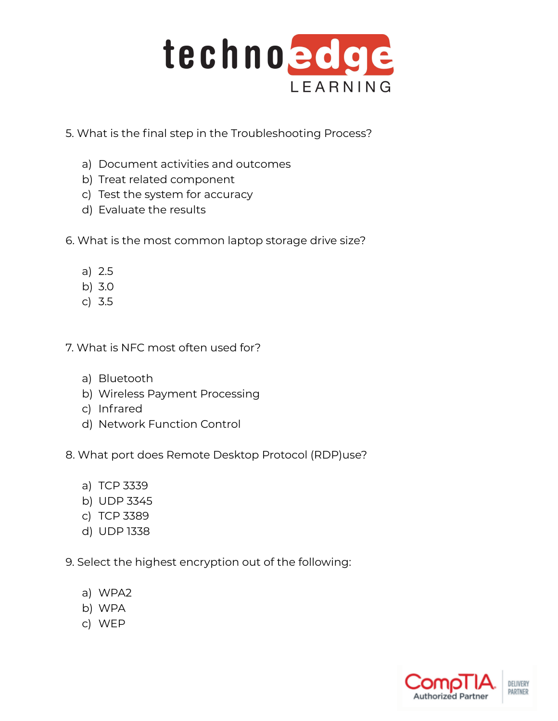

- 5. What is the final step in the Troubleshooting Process?
	- a) Document activities and outcomes
	- b) Treat related component
	- c) Test the system for accuracy
	- d) Evaluate the results
- 6. What is the most common laptop storage drive size?
	- a) 2.5
	- b) 3.0
	- c) 3.5
- 7. What is NFC most often used for?
	- a) Bluetooth
	- b) Wireless Payment Processing
	- c) Infrared
	- d) Network Function Control
- 8. What port does Remote Desktop Protocol (RDP)use?
	- a) TCP 3339
	- b) UDP 3345
	- c) TCP 3389
	- d) UDP 1338
- 9. Select the highest encryption out of the following:
	- a) WPA2
	- b) WPA
	- c) WEP

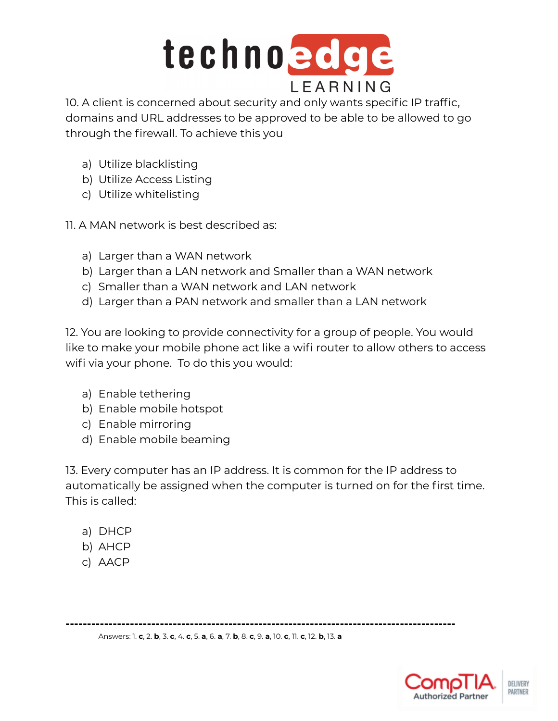

10. A client is concerned about security and only wants specific IP traffic, domains and URL addresses to be approved to be able to be allowed to go through the firewall. To achieve this you

- a) Utilize blacklisting
- b) Utilize Access Listing
- c) Utilize whitelisting

11. A MAN network is best described as:

- a) Larger than a WAN network
- b) Larger than a LAN network and Smaller than a WAN network
- c) Smaller than a WAN network and LAN network
- d) Larger than a PAN network and smaller than a LAN network

12. You are looking to provide connectivity for a group of people. You would like to make your mobile phone act like a wifi router to allow others to access wifi via your phone. To do this you would:

- a) Enable tethering
- b) Enable mobile hotspot
- c) Enable mirroring
- d) Enable mobile beaming

13. Every computer has an IP address. It is common for the IP address to automatically be assigned when the computer is turned on for the first time. This is called:

- a) DHCP
- b) AHCP
- c) AACP

**-------------------------------------------------------------------------------------------**

Answers: 1. **c**, 2. **b**, 3. **c**, 4. **c**, 5. **a**, 6. **a**, 7. **b**, 8. **c**, 9. **a**, 10. **c**, 11. **c**, 12. **b**, 13. **a**